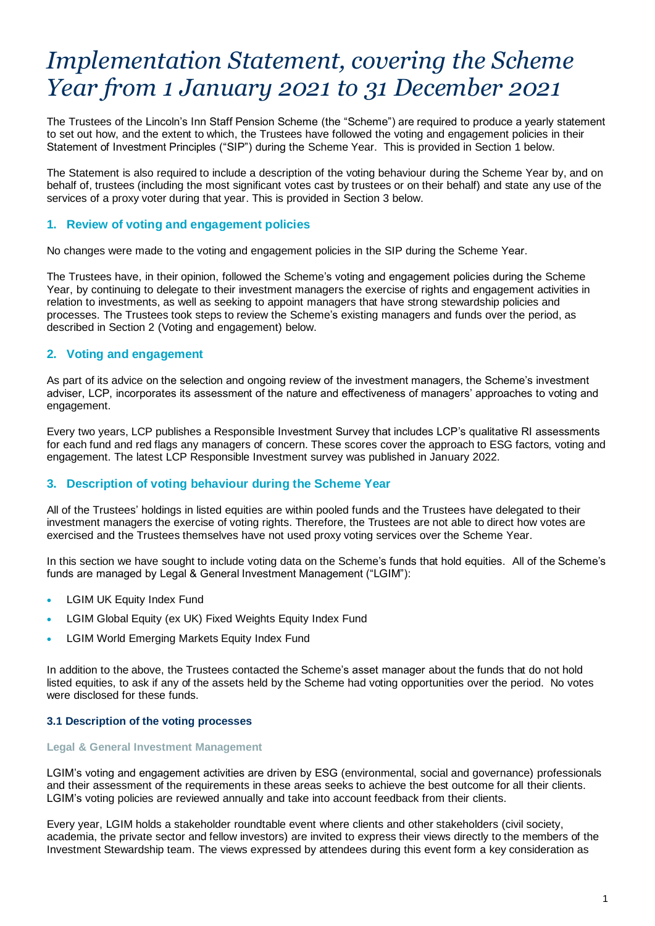# *Implementation Statement, covering the Scheme Year from 1 January 2021 to 31 December 2021*

The Trustees of the Lincoln's Inn Staff Pension Scheme (the "Scheme") are required to produce a yearly statement to set out how, and the extent to which, the Trustees have followed the voting and engagement policies in their Statement of Investment Principles ("SIP") during the Scheme Year. This is provided in Section 1 below.

The Statement is also required to include a description of the voting behaviour during the Scheme Year by, and on behalf of, trustees (including the most significant votes cast by trustees or on their behalf) and state any use of the services of a proxy voter during that year. This is provided in Section 3 below.

# **1. Review of voting and engagement policies**

No changes were made to the voting and engagement policies in the SIP during the Scheme Year. 

The Trustees have, in their opinion, followed the Scheme's voting and engagement policies during the Scheme Year, by continuing to delegate to their investment managers the exercise of rights and engagement activities in relation to investments, as well as seeking to appoint managers that have strong stewardship policies and processes. The Trustees took steps to review the Scheme's existing managers and funds over the period, as described in Section 2 (Voting and engagement) below.

## **2. Voting and engagement**

As part of its advice on the selection and ongoing review of the investment managers, the Scheme's investment adviser, LCP, incorporates its assessment of the nature and effectiveness of managers' approaches to voting and engagement.

Every two years, LCP publishes a Responsible Investment Survey that includes LCP's qualitative RI assessments for each fund and red flags any managers of concern. These scores cover the approach to ESG factors, voting and engagement. The latest LCP Responsible Investment survey was published in January 2022.

# **3. Description of voting behaviour during the Scheme Year**

All of the Trustees' holdings in listed equities are within pooled funds and the Trustees have delegated to their investment managers the exercise of voting rights. Therefore, the Trustees are not able to direct how votes are exercised and the Trustees themselves have not used proxy voting services over the Scheme Year.

In this section we have sought to include voting data on the Scheme's funds that hold equities. All of the Scheme's funds are managed by Legal & General Investment Management ("LGIM"):

- LGIM UK Equity Index Fund
- LGIM Global Equity (ex UK) Fixed Weights Equity Index Fund
- LGIM World Emerging Markets Equity Index Fund

In addition to the above, the Trustees contacted the Scheme's asset manager about the funds that do not hold listed equities, to ask if any of the assets held by the Scheme had voting opportunities over the period. No votes were disclosed for these funds.

#### **3.1 Description of the voting processes**

#### **Legal & General Investment Management**

LGIM's voting and engagement activities are driven by ESG (environmental, social and governance) professionals and their assessment of the requirements in these areas seeks to achieve the best outcome for all their clients. LGIM's voting policies are reviewed annually and take into account feedback from their clients.

Every year, LGIM holds a stakeholder roundtable event where clients and other stakeholders (civil society, academia, the private sector and fellow investors) are invited to express their views directly to the members of the Investment Stewardship team. The views expressed by attendees during this event form a key consideration as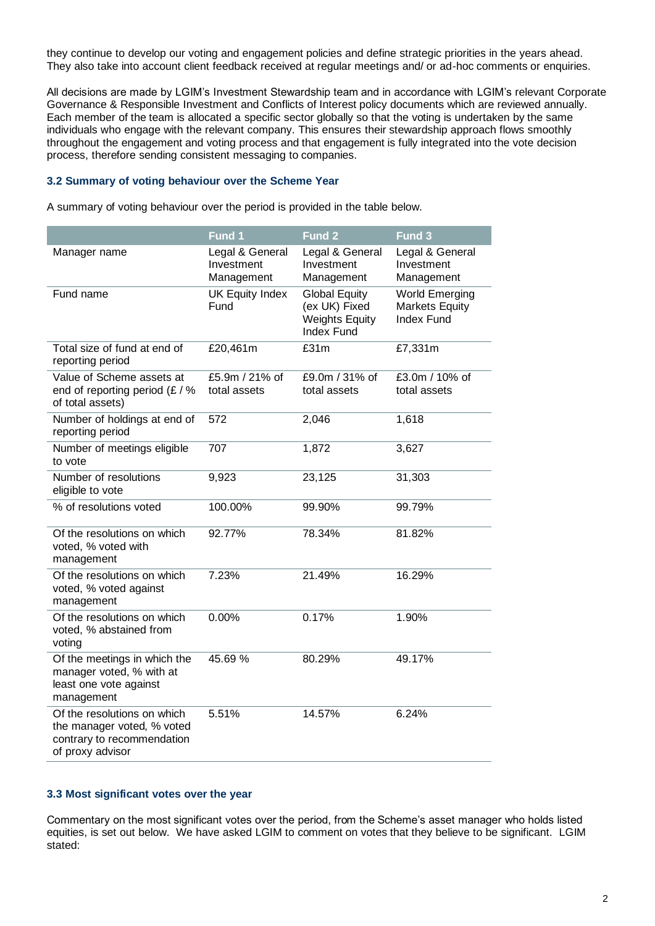they continue to develop our voting and engagement policies and define strategic priorities in the years ahead. They also take into account client feedback received at regular meetings and/ or ad-hoc comments or enquiries.

All decisions are made by LGIM's Investment Stewardship team and in accordance with LGIM's relevant Corporate Governance & Responsible Investment and Conflicts of Interest policy documents which are reviewed annually. Each member of the team is allocated a specific sector globally so that the voting is undertaken by the same individuals who engage with the relevant company. This ensures their stewardship approach flows smoothly throughout the engagement and voting process and that engagement is fully integrated into the vote decision process, therefore sending consistent messaging to companies.

#### **3.2 Summary of voting behaviour over the Scheme Year**

A summary of voting behaviour over the period is provided in the table below.

|                                                                                                             | Fund 1                                      | Fund <sub>2</sub>                                                                   | Fund 3                                                              |
|-------------------------------------------------------------------------------------------------------------|---------------------------------------------|-------------------------------------------------------------------------------------|---------------------------------------------------------------------|
| Manager name                                                                                                | Legal & General<br>Investment<br>Management | Legal & General<br>Investment<br>Management                                         | Legal & General<br>Investment<br>Management                         |
| Fund name                                                                                                   | <b>UK Equity Index</b><br>Fund              | <b>Global Equity</b><br>(ex UK) Fixed<br><b>Weights Equity</b><br><b>Index Fund</b> | <b>World Emerging</b><br><b>Markets Equity</b><br><b>Index Fund</b> |
| Total size of fund at end of<br>reporting period                                                            | £20,461m                                    | £31m                                                                                | £7,331m                                                             |
| Value of Scheme assets at<br>end of reporting period $(E / \%)$<br>of total assets)                         | £5.9m / 21% of<br>total assets              | £9.0m / 31% of<br>total assets                                                      | £3.0m / 10% of<br>total assets                                      |
| Number of holdings at end of<br>reporting period                                                            | 572                                         | 2,046                                                                               | 1,618                                                               |
| Number of meetings eligible<br>to vote                                                                      | 707                                         | 1,872                                                                               | 3,627                                                               |
| Number of resolutions<br>eligible to vote                                                                   | 9,923                                       | 23,125                                                                              | 31,303                                                              |
| % of resolutions voted                                                                                      | 100.00%                                     | 99.90%                                                                              | 99.79%                                                              |
| Of the resolutions on which<br>voted, % voted with<br>management                                            | 92.77%                                      | 78.34%                                                                              | 81.82%                                                              |
| Of the resolutions on which<br>voted, % voted against<br>management                                         | 7.23%                                       | 21.49%                                                                              | 16.29%                                                              |
| Of the resolutions on which<br>voted, % abstained from<br>voting                                            | 0.00%                                       | 0.17%                                                                               | 1.90%                                                               |
| Of the meetings in which the<br>manager voted, % with at<br>least one vote against<br>management            | 45.69 %                                     | 80.29%                                                                              | 49.17%                                                              |
| Of the resolutions on which<br>the manager voted, % voted<br>contrary to recommendation<br>of proxy advisor | 5.51%                                       | 14.57%                                                                              | 6.24%                                                               |

#### **3.3 Most significant votes over the year**

Commentary on the most significant votes over the period, from the Scheme's asset manager who holds listed equities, is set out below. We have asked LGIM to comment on votes that they believe to be significant.LGIM stated: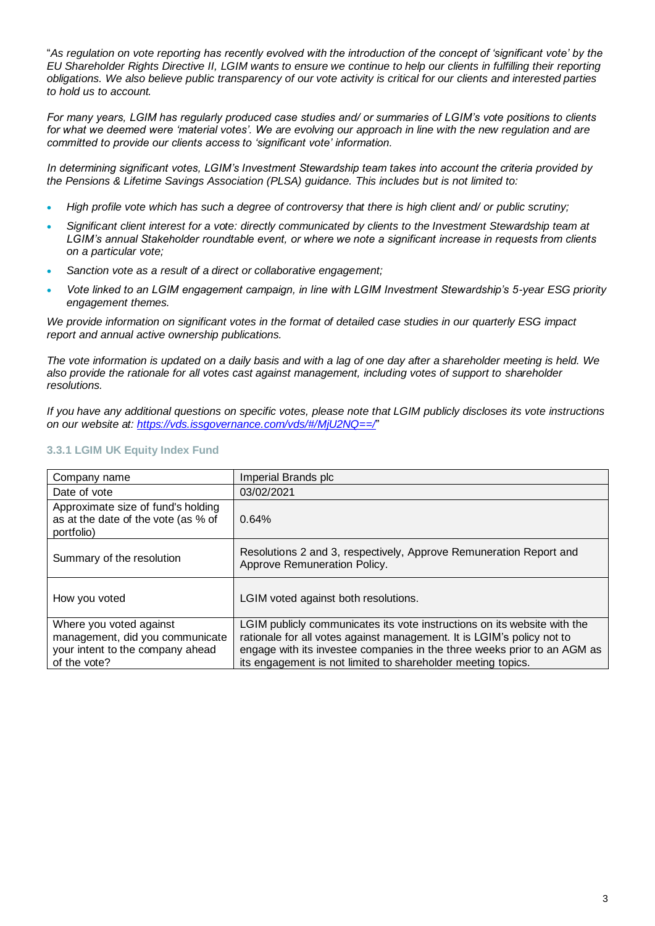"*As regulation on vote reporting has recently evolved with the introduction of the concept of 'significant vote' by the EU Shareholder Rights Directive II, LGIM wants to ensure we continue to help our clients in fulfilling their reporting obligations. We also believe public transparency of our vote activity is critical for our clients and interested parties to hold us to account.* 

*For many years, LGIM has regularly produced case studies and/ or summaries of LGIM's vote positions to clients*  for what we deemed were 'material votes'. We are evolving our approach in line with the new regulation and are *committed to provide our clients access to 'significant vote' information.*

*In determining significant votes, LGIM's Investment Stewardship team takes into account the criteria provided by the Pensions & Lifetime Savings Association (PLSA) guidance. This includes but is not limited to:*

- *High profile vote which has such a degree of controversy that there is high client and/ or public scrutiny;*
- *Significant client interest for a vote: directly communicated by clients to the Investment Stewardship team at LGIM's annual Stakeholder roundtable event, or where we note a significant increase in requests from clients on a particular vote;*
- *Sanction vote as a result of a direct or collaborative engagement;*
- *Vote linked to an LGIM engagement campaign, in line with LGIM Investment Stewardship's 5-year ESG priority engagement themes.*

*We provide information on significant votes in the format of detailed case studies in our quarterly ESG impact report and annual active ownership publications.* 

*The vote information is updated on a daily basis and with a lag of one day after a shareholder meeting is held. We also provide the rationale for all votes cast against management, including votes of support to shareholder resolutions.*

*If you have any additional questions on specific votes, please note that LGIM publicly discloses its vote instructions on our website at: <https://vds.issgovernance.com/vds/#/MjU2NQ==/>*"

## **3.3.1 LGIM UK Equity Index Fund**

| Company name                                                                                                   | Imperial Brands plc                                                                                                                                                                                                                                                                            |
|----------------------------------------------------------------------------------------------------------------|------------------------------------------------------------------------------------------------------------------------------------------------------------------------------------------------------------------------------------------------------------------------------------------------|
| Date of vote                                                                                                   | 03/02/2021                                                                                                                                                                                                                                                                                     |
| Approximate size of fund's holding<br>as at the date of the vote (as % of<br>portfolio)                        | 0.64%                                                                                                                                                                                                                                                                                          |
| Summary of the resolution                                                                                      | Resolutions 2 and 3, respectively, Approve Remuneration Report and<br>Approve Remuneration Policy.                                                                                                                                                                                             |
| How you voted                                                                                                  | LGIM voted against both resolutions.                                                                                                                                                                                                                                                           |
| Where you voted against<br>management, did you communicate<br>your intent to the company ahead<br>of the vote? | LGIM publicly communicates its vote instructions on its website with the<br>rationale for all votes against management. It is LGIM's policy not to<br>engage with its investee companies in the three weeks prior to an AGM as<br>its engagement is not limited to shareholder meeting topics. |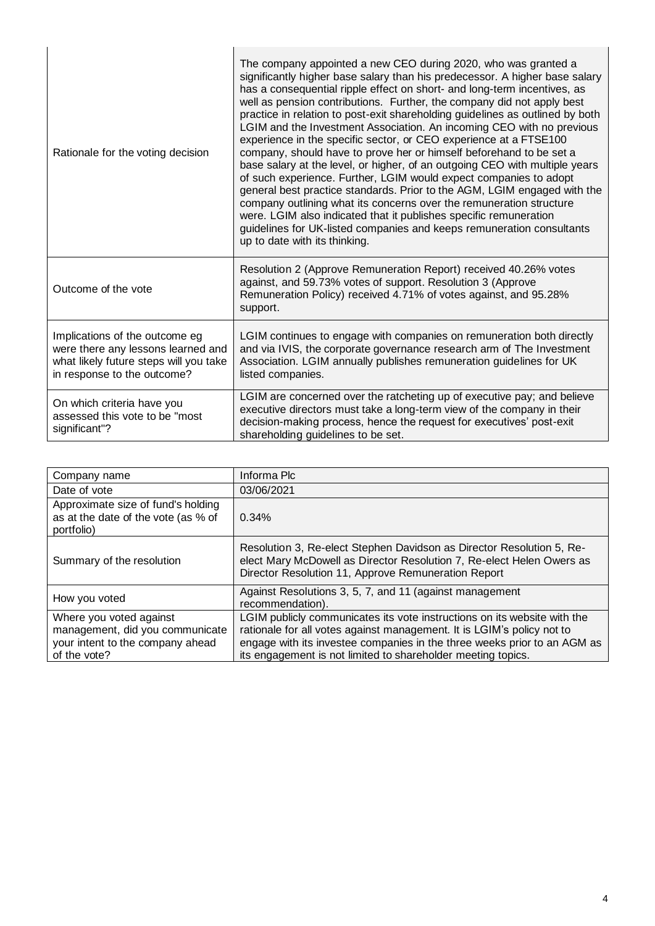| Rationale for the voting decision                                                                                                             | The company appointed a new CEO during 2020, who was granted a<br>significantly higher base salary than his predecessor. A higher base salary<br>has a consequential ripple effect on short- and long-term incentives, as<br>well as pension contributions. Further, the company did not apply best<br>practice in relation to post-exit shareholding guidelines as outlined by both<br>LGIM and the Investment Association. An incoming CEO with no previous<br>experience in the specific sector, or CEO experience at a FTSE100<br>company, should have to prove her or himself beforehand to be set a<br>base salary at the level, or higher, of an outgoing CEO with multiple years<br>of such experience. Further, LGIM would expect companies to adopt<br>general best practice standards. Prior to the AGM, LGIM engaged with the<br>company outlining what its concerns over the remuneration structure<br>were. LGIM also indicated that it publishes specific remuneration<br>guidelines for UK-listed companies and keeps remuneration consultants<br>up to date with its thinking. |
|-----------------------------------------------------------------------------------------------------------------------------------------------|-------------------------------------------------------------------------------------------------------------------------------------------------------------------------------------------------------------------------------------------------------------------------------------------------------------------------------------------------------------------------------------------------------------------------------------------------------------------------------------------------------------------------------------------------------------------------------------------------------------------------------------------------------------------------------------------------------------------------------------------------------------------------------------------------------------------------------------------------------------------------------------------------------------------------------------------------------------------------------------------------------------------------------------------------------------------------------------------------|
| Outcome of the vote                                                                                                                           | Resolution 2 (Approve Remuneration Report) received 40.26% votes<br>against, and 59.73% votes of support. Resolution 3 (Approve<br>Remuneration Policy) received 4.71% of votes against, and 95.28%<br>support.                                                                                                                                                                                                                                                                                                                                                                                                                                                                                                                                                                                                                                                                                                                                                                                                                                                                                 |
| Implications of the outcome eg<br>were there any lessons learned and<br>what likely future steps will you take<br>in response to the outcome? | LGIM continues to engage with companies on remuneration both directly<br>and via IVIS, the corporate governance research arm of The Investment<br>Association. LGIM annually publishes remuneration guidelines for UK<br>listed companies.                                                                                                                                                                                                                                                                                                                                                                                                                                                                                                                                                                                                                                                                                                                                                                                                                                                      |
| On which criteria have you<br>assessed this vote to be "most<br>significant"?                                                                 | LGIM are concerned over the ratcheting up of executive pay; and believe<br>executive directors must take a long-term view of the company in their<br>decision-making process, hence the request for executives' post-exit<br>shareholding guidelines to be set.                                                                                                                                                                                                                                                                                                                                                                                                                                                                                                                                                                                                                                                                                                                                                                                                                                 |

| Company name                                                                                                   | Informa Plc                                                                                                                                                                                                                                                                                    |
|----------------------------------------------------------------------------------------------------------------|------------------------------------------------------------------------------------------------------------------------------------------------------------------------------------------------------------------------------------------------------------------------------------------------|
| Date of vote                                                                                                   | 03/06/2021                                                                                                                                                                                                                                                                                     |
| Approximate size of fund's holding<br>as at the date of the vote (as % of<br>portfolio)                        | 0.34%                                                                                                                                                                                                                                                                                          |
| Summary of the resolution                                                                                      | Resolution 3, Re-elect Stephen Davidson as Director Resolution 5, Re-<br>elect Mary McDowell as Director Resolution 7, Re-elect Helen Owers as<br>Director Resolution 11, Approve Remuneration Report                                                                                          |
| How you voted                                                                                                  | Against Resolutions 3, 5, 7, and 11 (against management<br>recommendation).                                                                                                                                                                                                                    |
| Where you voted against<br>management, did you communicate<br>your intent to the company ahead<br>of the vote? | LGIM publicly communicates its vote instructions on its website with the<br>rationale for all votes against management. It is LGIM's policy not to<br>engage with its investee companies in the three weeks prior to an AGM as<br>its engagement is not limited to shareholder meeting topics. |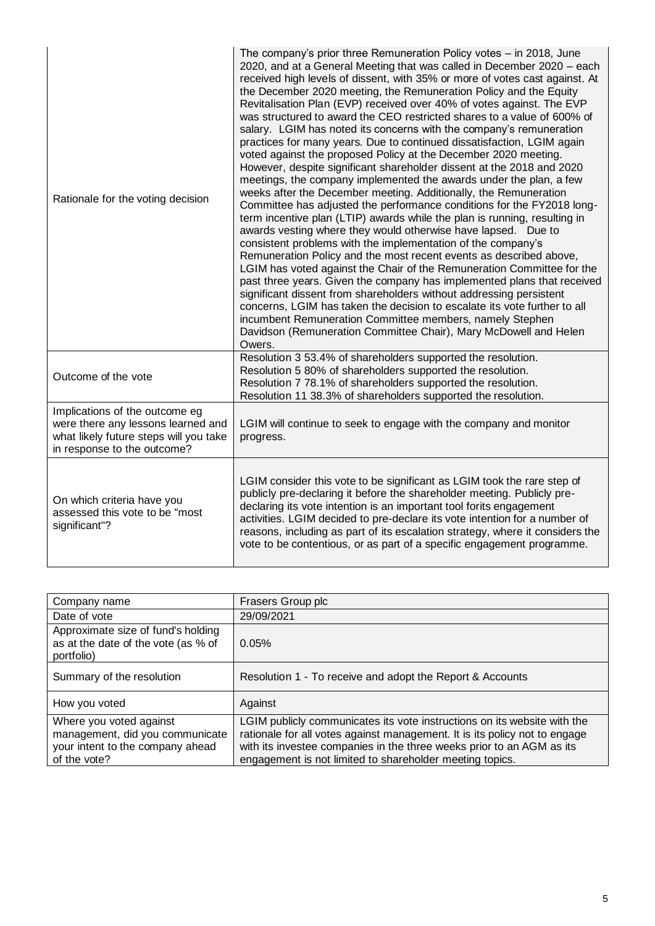| Rationale for the voting decision                                                                                                             | The company's prior three Remuneration Policy votes - in 2018, June<br>2020, and at a General Meeting that was called in December 2020 – each<br>received high levels of dissent, with 35% or more of votes cast against. At<br>the December 2020 meeting, the Remuneration Policy and the Equity<br>Revitalisation Plan (EVP) received over 40% of votes against. The EVP<br>was structured to award the CEO restricted shares to a value of 600% of<br>salary. LGIM has noted its concerns with the company's remuneration<br>practices for many years. Due to continued dissatisfaction, LGIM again<br>voted against the proposed Policy at the December 2020 meeting.<br>However, despite significant shareholder dissent at the 2018 and 2020<br>meetings, the company implemented the awards under the plan, a few<br>weeks after the December meeting. Additionally, the Remuneration<br>Committee has adjusted the performance conditions for the FY2018 long-<br>term incentive plan (LTIP) awards while the plan is running, resulting in<br>awards vesting where they would otherwise have lapsed. Due to<br>consistent problems with the implementation of the company's<br>Remuneration Policy and the most recent events as described above,<br>LGIM has voted against the Chair of the Remuneration Committee for the<br>past three years. Given the company has implemented plans that received<br>significant dissent from shareholders without addressing persistent<br>concerns, LGIM has taken the decision to escalate its vote further to all<br>incumbent Remuneration Committee members, namely Stephen<br>Davidson (Remuneration Committee Chair), Mary McDowell and Helen<br>Owers. |
|-----------------------------------------------------------------------------------------------------------------------------------------------|---------------------------------------------------------------------------------------------------------------------------------------------------------------------------------------------------------------------------------------------------------------------------------------------------------------------------------------------------------------------------------------------------------------------------------------------------------------------------------------------------------------------------------------------------------------------------------------------------------------------------------------------------------------------------------------------------------------------------------------------------------------------------------------------------------------------------------------------------------------------------------------------------------------------------------------------------------------------------------------------------------------------------------------------------------------------------------------------------------------------------------------------------------------------------------------------------------------------------------------------------------------------------------------------------------------------------------------------------------------------------------------------------------------------------------------------------------------------------------------------------------------------------------------------------------------------------------------------------------------------------------------------------------------------------------------------------------------|
| Outcome of the vote                                                                                                                           | Resolution 3 53.4% of shareholders supported the resolution.<br>Resolution 5 80% of shareholders supported the resolution.<br>Resolution 7 78.1% of shareholders supported the resolution.<br>Resolution 11 38.3% of shareholders supported the resolution.                                                                                                                                                                                                                                                                                                                                                                                                                                                                                                                                                                                                                                                                                                                                                                                                                                                                                                                                                                                                                                                                                                                                                                                                                                                                                                                                                                                                                                                   |
| Implications of the outcome eg<br>were there any lessons learned and<br>what likely future steps will you take<br>in response to the outcome? | LGIM will continue to seek to engage with the company and monitor<br>progress.                                                                                                                                                                                                                                                                                                                                                                                                                                                                                                                                                                                                                                                                                                                                                                                                                                                                                                                                                                                                                                                                                                                                                                                                                                                                                                                                                                                                                                                                                                                                                                                                                                |
| On which criteria have you<br>assessed this vote to be "most<br>significant"?                                                                 | LGIM consider this vote to be significant as LGIM took the rare step of<br>publicly pre-declaring it before the shareholder meeting. Publicly pre-<br>declaring its vote intention is an important tool forits engagement<br>activities. LGIM decided to pre-declare its vote intention for a number of<br>reasons, including as part of its escalation strategy, where it considers the<br>vote to be contentious, or as part of a specific engagement programme.                                                                                                                                                                                                                                                                                                                                                                                                                                                                                                                                                                                                                                                                                                                                                                                                                                                                                                                                                                                                                                                                                                                                                                                                                                            |

| Company name                                                                                                   | Frasers Group plc                                                                                                                                                                                                                                                                           |
|----------------------------------------------------------------------------------------------------------------|---------------------------------------------------------------------------------------------------------------------------------------------------------------------------------------------------------------------------------------------------------------------------------------------|
| Date of vote                                                                                                   | 29/09/2021                                                                                                                                                                                                                                                                                  |
| Approximate size of fund's holding<br>as at the date of the vote (as % of<br>portfolio)                        | 0.05%                                                                                                                                                                                                                                                                                       |
| Summary of the resolution                                                                                      | Resolution 1 - To receive and adopt the Report & Accounts                                                                                                                                                                                                                                   |
| How you voted                                                                                                  | Against                                                                                                                                                                                                                                                                                     |
| Where you voted against<br>management, did you communicate<br>your intent to the company ahead<br>of the vote? | LGIM publicly communicates its vote instructions on its website with the<br>rationale for all votes against management. It is its policy not to engage<br>with its investee companies in the three weeks prior to an AGM as its<br>engagement is not limited to shareholder meeting topics. |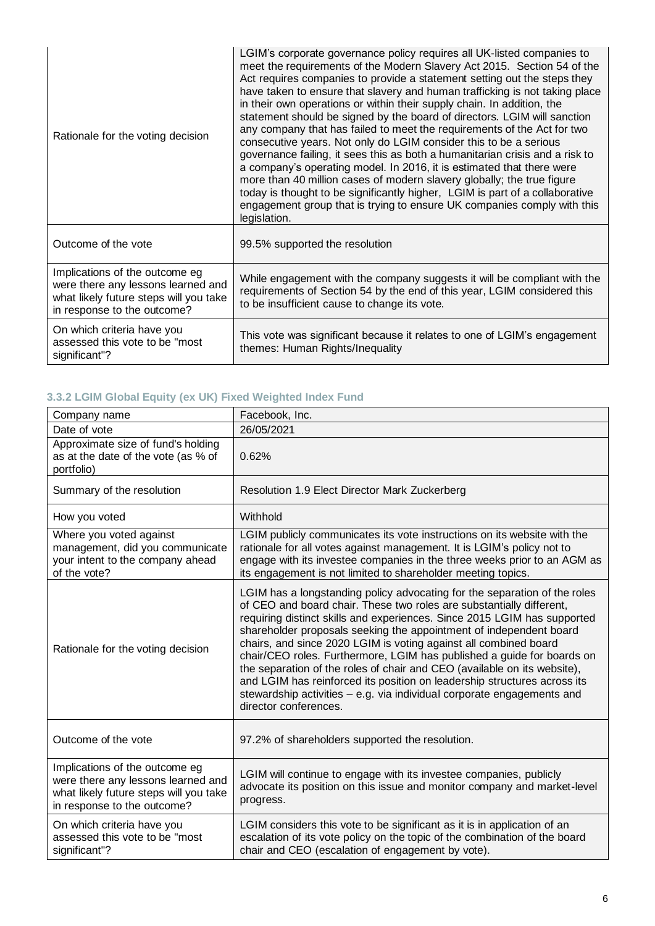| Rationale for the voting decision                                                                                                             | LGIM's corporate governance policy requires all UK-listed companies to<br>meet the requirements of the Modern Slavery Act 2015. Section 54 of the<br>Act requires companies to provide a statement setting out the steps they<br>have taken to ensure that slavery and human trafficking is not taking place<br>in their own operations or within their supply chain. In addition, the<br>statement should be signed by the board of directors. LGIM will sanction<br>any company that has failed to meet the requirements of the Act for two<br>consecutive years. Not only do LGIM consider this to be a serious<br>governance failing, it sees this as both a humanitarian crisis and a risk to<br>a company's operating model. In 2016, it is estimated that there were<br>more than 40 million cases of modern slavery globally; the true figure<br>today is thought to be significantly higher, LGIM is part of a collaborative<br>engagement group that is trying to ensure UK companies comply with this<br>legislation. |
|-----------------------------------------------------------------------------------------------------------------------------------------------|----------------------------------------------------------------------------------------------------------------------------------------------------------------------------------------------------------------------------------------------------------------------------------------------------------------------------------------------------------------------------------------------------------------------------------------------------------------------------------------------------------------------------------------------------------------------------------------------------------------------------------------------------------------------------------------------------------------------------------------------------------------------------------------------------------------------------------------------------------------------------------------------------------------------------------------------------------------------------------------------------------------------------------|
| Outcome of the vote                                                                                                                           | 99.5% supported the resolution                                                                                                                                                                                                                                                                                                                                                                                                                                                                                                                                                                                                                                                                                                                                                                                                                                                                                                                                                                                                   |
| Implications of the outcome eg<br>were there any lessons learned and<br>what likely future steps will you take<br>in response to the outcome? | While engagement with the company suggests it will be compliant with the<br>requirements of Section 54 by the end of this year, LGIM considered this<br>to be insufficient cause to change its vote.                                                                                                                                                                                                                                                                                                                                                                                                                                                                                                                                                                                                                                                                                                                                                                                                                             |
| On which criteria have you<br>assessed this vote to be "most<br>significant"?                                                                 | This vote was significant because it relates to one of LGIM's engagement<br>themes: Human Rights/Inequality                                                                                                                                                                                                                                                                                                                                                                                                                                                                                                                                                                                                                                                                                                                                                                                                                                                                                                                      |

# **3.3.2 LGIM Global Equity (ex UK) Fixed Weighted Index Fund**

| Company name                                                                                                                                  | Facebook, Inc.                                                                                                                                                                                                                                                                                                                                                                                                                                                                                                                                                                                                                                                                                               |
|-----------------------------------------------------------------------------------------------------------------------------------------------|--------------------------------------------------------------------------------------------------------------------------------------------------------------------------------------------------------------------------------------------------------------------------------------------------------------------------------------------------------------------------------------------------------------------------------------------------------------------------------------------------------------------------------------------------------------------------------------------------------------------------------------------------------------------------------------------------------------|
| Date of vote                                                                                                                                  | 26/05/2021                                                                                                                                                                                                                                                                                                                                                                                                                                                                                                                                                                                                                                                                                                   |
| Approximate size of fund's holding<br>as at the date of the vote (as % of<br>portfolio)                                                       | 0.62%                                                                                                                                                                                                                                                                                                                                                                                                                                                                                                                                                                                                                                                                                                        |
| Summary of the resolution                                                                                                                     | Resolution 1.9 Elect Director Mark Zuckerberg                                                                                                                                                                                                                                                                                                                                                                                                                                                                                                                                                                                                                                                                |
| How you voted                                                                                                                                 | Withhold                                                                                                                                                                                                                                                                                                                                                                                                                                                                                                                                                                                                                                                                                                     |
| Where you voted against<br>management, did you communicate<br>your intent to the company ahead<br>of the vote?                                | LGIM publicly communicates its vote instructions on its website with the<br>rationale for all votes against management. It is LGIM's policy not to<br>engage with its investee companies in the three weeks prior to an AGM as<br>its engagement is not limited to shareholder meeting topics.                                                                                                                                                                                                                                                                                                                                                                                                               |
| Rationale for the voting decision                                                                                                             | LGIM has a longstanding policy advocating for the separation of the roles<br>of CEO and board chair. These two roles are substantially different,<br>requiring distinct skills and experiences. Since 2015 LGIM has supported<br>shareholder proposals seeking the appointment of independent board<br>chairs, and since 2020 LGIM is voting against all combined board<br>chair/CEO roles. Furthermore, LGIM has published a guide for boards on<br>the separation of the roles of chair and CEO (available on its website),<br>and LGIM has reinforced its position on leadership structures across its<br>stewardship activities - e.g. via individual corporate engagements and<br>director conferences. |
| Outcome of the vote                                                                                                                           | 97.2% of shareholders supported the resolution.                                                                                                                                                                                                                                                                                                                                                                                                                                                                                                                                                                                                                                                              |
| Implications of the outcome eg<br>were there any lessons learned and<br>what likely future steps will you take<br>in response to the outcome? | LGIM will continue to engage with its investee companies, publicly<br>advocate its position on this issue and monitor company and market-level<br>progress.                                                                                                                                                                                                                                                                                                                                                                                                                                                                                                                                                  |
| On which criteria have you<br>assessed this vote to be "most<br>significant"?                                                                 | LGIM considers this vote to be significant as it is in application of an<br>escalation of its vote policy on the topic of the combination of the board<br>chair and CEO (escalation of engagement by vote).                                                                                                                                                                                                                                                                                                                                                                                                                                                                                                  |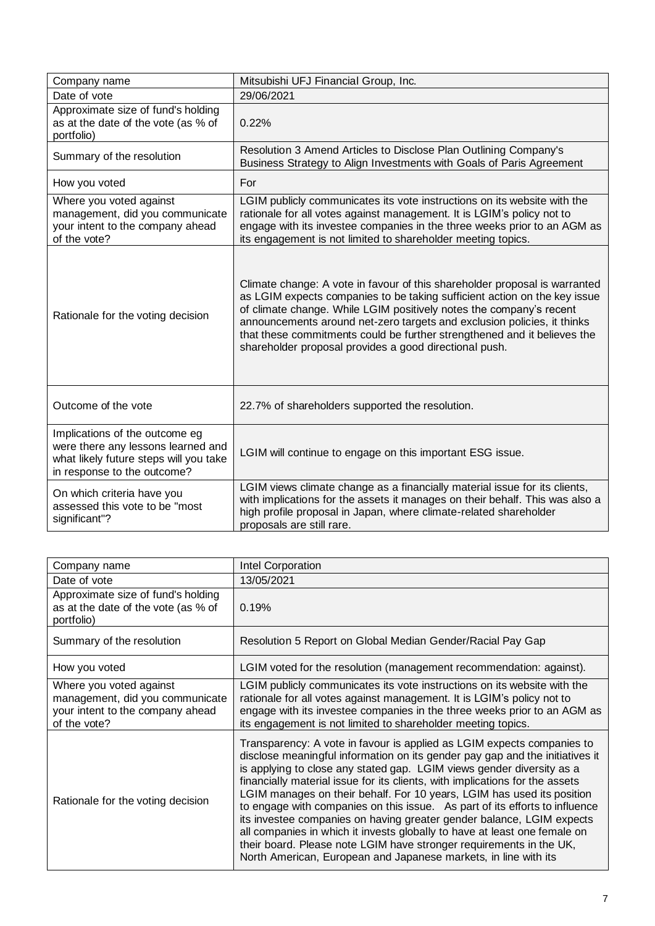| Company name                                                                                                                                  | Mitsubishi UFJ Financial Group, Inc.                                                                                                                                                                                                                                                                                                                                                                                                            |
|-----------------------------------------------------------------------------------------------------------------------------------------------|-------------------------------------------------------------------------------------------------------------------------------------------------------------------------------------------------------------------------------------------------------------------------------------------------------------------------------------------------------------------------------------------------------------------------------------------------|
| Date of vote                                                                                                                                  | 29/06/2021                                                                                                                                                                                                                                                                                                                                                                                                                                      |
| Approximate size of fund's holding<br>as at the date of the vote (as % of<br>portfolio)                                                       | 0.22%                                                                                                                                                                                                                                                                                                                                                                                                                                           |
| Summary of the resolution                                                                                                                     | Resolution 3 Amend Articles to Disclose Plan Outlining Company's<br>Business Strategy to Align Investments with Goals of Paris Agreement                                                                                                                                                                                                                                                                                                        |
| How you voted                                                                                                                                 | For                                                                                                                                                                                                                                                                                                                                                                                                                                             |
| Where you voted against<br>management, did you communicate<br>your intent to the company ahead<br>of the vote?                                | LGIM publicly communicates its vote instructions on its website with the<br>rationale for all votes against management. It is LGIM's policy not to<br>engage with its investee companies in the three weeks prior to an AGM as<br>its engagement is not limited to shareholder meeting topics.                                                                                                                                                  |
| Rationale for the voting decision                                                                                                             | Climate change: A vote in favour of this shareholder proposal is warranted<br>as LGIM expects companies to be taking sufficient action on the key issue<br>of climate change. While LGIM positively notes the company's recent<br>announcements around net-zero targets and exclusion policies, it thinks<br>that these commitments could be further strengthened and it believes the<br>shareholder proposal provides a good directional push. |
| Outcome of the vote                                                                                                                           | 22.7% of shareholders supported the resolution.                                                                                                                                                                                                                                                                                                                                                                                                 |
| Implications of the outcome eg<br>were there any lessons learned and<br>what likely future steps will you take<br>in response to the outcome? | LGIM will continue to engage on this important ESG issue.                                                                                                                                                                                                                                                                                                                                                                                       |
| On which criteria have you<br>assessed this vote to be "most<br>significant"?                                                                 | LGIM views climate change as a financially material issue for its clients,<br>with implications for the assets it manages on their behalf. This was also a<br>high profile proposal in Japan, where climate-related shareholder<br>proposals are still rare.                                                                                                                                                                                    |

| Company name                                                                                                   | <b>Intel Corporation</b>                                                                                                                                                                                                                                                                                                                                                                                                                                                                                                                                                                                                                                                                                                                                                 |
|----------------------------------------------------------------------------------------------------------------|--------------------------------------------------------------------------------------------------------------------------------------------------------------------------------------------------------------------------------------------------------------------------------------------------------------------------------------------------------------------------------------------------------------------------------------------------------------------------------------------------------------------------------------------------------------------------------------------------------------------------------------------------------------------------------------------------------------------------------------------------------------------------|
| Date of vote                                                                                                   | 13/05/2021                                                                                                                                                                                                                                                                                                                                                                                                                                                                                                                                                                                                                                                                                                                                                               |
| Approximate size of fund's holding<br>as at the date of the vote (as % of<br>portfolio)                        | 0.19%                                                                                                                                                                                                                                                                                                                                                                                                                                                                                                                                                                                                                                                                                                                                                                    |
| Summary of the resolution                                                                                      | Resolution 5 Report on Global Median Gender/Racial Pay Gap                                                                                                                                                                                                                                                                                                                                                                                                                                                                                                                                                                                                                                                                                                               |
| How you voted                                                                                                  | LGIM voted for the resolution (management recommendation: against).                                                                                                                                                                                                                                                                                                                                                                                                                                                                                                                                                                                                                                                                                                      |
| Where you voted against<br>management, did you communicate<br>your intent to the company ahead<br>of the vote? | LGIM publicly communicates its vote instructions on its website with the<br>rationale for all votes against management. It is LGIM's policy not to<br>engage with its investee companies in the three weeks prior to an AGM as<br>its engagement is not limited to shareholder meeting topics.                                                                                                                                                                                                                                                                                                                                                                                                                                                                           |
| Rationale for the voting decision                                                                              | Transparency: A vote in favour is applied as LGIM expects companies to<br>disclose meaningful information on its gender pay gap and the initiatives it<br>is applying to close any stated gap. LGIM views gender diversity as a<br>financially material issue for its clients, with implications for the assets<br>LGIM manages on their behalf. For 10 years, LGIM has used its position<br>to engage with companies on this issue. As part of its efforts to influence<br>its investee companies on having greater gender balance, LGIM expects<br>all companies in which it invests globally to have at least one female on<br>their board. Please note LGIM have stronger requirements in the UK,<br>North American, European and Japanese markets, in line with its |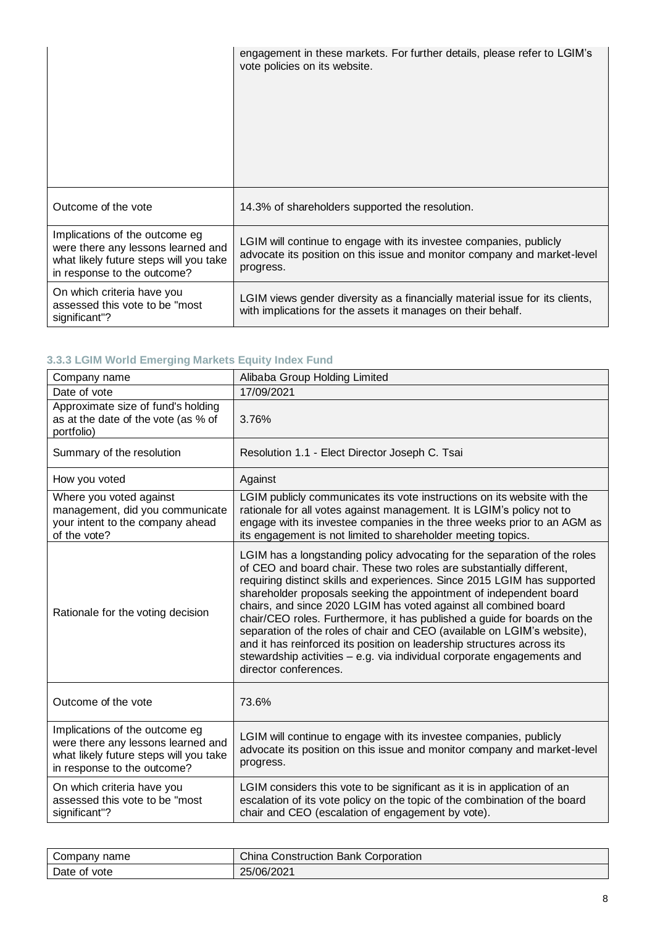|                                                                                                                                               | engagement in these markets. For further details, please refer to LGIM's<br>vote policies on its website.                                                   |
|-----------------------------------------------------------------------------------------------------------------------------------------------|-------------------------------------------------------------------------------------------------------------------------------------------------------------|
| Outcome of the vote                                                                                                                           | 14.3% of shareholders supported the resolution.                                                                                                             |
| Implications of the outcome eg<br>were there any lessons learned and<br>what likely future steps will you take<br>in response to the outcome? | LGIM will continue to engage with its investee companies, publicly<br>advocate its position on this issue and monitor company and market-level<br>progress. |
| On which criteria have you<br>assessed this vote to be "most<br>significant"?                                                                 | LGIM views gender diversity as a financially material issue for its clients,<br>with implications for the assets it manages on their behalf.                |

# **3.3.3 LGIM World Emerging Markets Equity Index Fund**

| Alibaba Group Holding Limited                                                                                                                                                                                                                                                                                                                                                                                                                                                                                                                                                                                                                                                                               |
|-------------------------------------------------------------------------------------------------------------------------------------------------------------------------------------------------------------------------------------------------------------------------------------------------------------------------------------------------------------------------------------------------------------------------------------------------------------------------------------------------------------------------------------------------------------------------------------------------------------------------------------------------------------------------------------------------------------|
| 17/09/2021                                                                                                                                                                                                                                                                                                                                                                                                                                                                                                                                                                                                                                                                                                  |
| 3.76%                                                                                                                                                                                                                                                                                                                                                                                                                                                                                                                                                                                                                                                                                                       |
| Resolution 1.1 - Elect Director Joseph C. Tsai                                                                                                                                                                                                                                                                                                                                                                                                                                                                                                                                                                                                                                                              |
| Against                                                                                                                                                                                                                                                                                                                                                                                                                                                                                                                                                                                                                                                                                                     |
| LGIM publicly communicates its vote instructions on its website with the<br>rationale for all votes against management. It is LGIM's policy not to<br>engage with its investee companies in the three weeks prior to an AGM as<br>its engagement is not limited to shareholder meeting topics.                                                                                                                                                                                                                                                                                                                                                                                                              |
| LGIM has a longstanding policy advocating for the separation of the roles<br>of CEO and board chair. These two roles are substantially different,<br>requiring distinct skills and experiences. Since 2015 LGIM has supported<br>shareholder proposals seeking the appointment of independent board<br>chairs, and since 2020 LGIM has voted against all combined board<br>chair/CEO roles. Furthermore, it has published a guide for boards on the<br>separation of the roles of chair and CEO (available on LGIM's website),<br>and it has reinforced its position on leadership structures across its<br>stewardship activities - e.g. via individual corporate engagements and<br>director conferences. |
| 73.6%                                                                                                                                                                                                                                                                                                                                                                                                                                                                                                                                                                                                                                                                                                       |
| LGIM will continue to engage with its investee companies, publicly<br>advocate its position on this issue and monitor company and market-level<br>progress.                                                                                                                                                                                                                                                                                                                                                                                                                                                                                                                                                 |
| LGIM considers this vote to be significant as it is in application of an<br>escalation of its vote policy on the topic of the combination of the board<br>chair and CEO (escalation of engagement by vote).                                                                                                                                                                                                                                                                                                                                                                                                                                                                                                 |
|                                                                                                                                                                                                                                                                                                                                                                                                                                                                                                                                                                                                                                                                                                             |

| Company name | <b>China Construction Bank Corporation</b> |
|--------------|--------------------------------------------|
| Date of vote | 25/06/2021                                 |